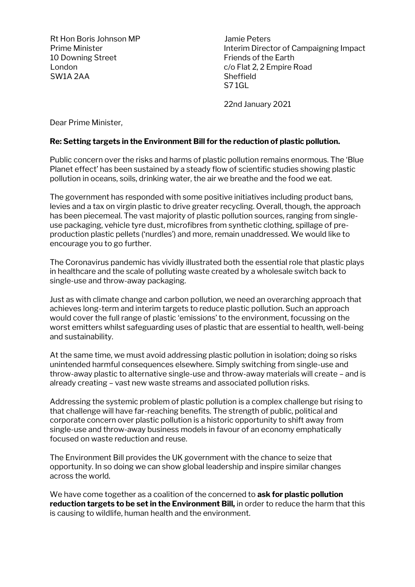Rt Hon Boris Johnson MP Jamie Peters 10 Downing Street **Fig. 10** Downing Street London c/o Flat 2, 2 Empire Road SW1A 2AA Sheffield

Prime Minister **Interim Director of Campaigning Impact** S7 1GL

22nd January 2021

Dear Prime Minister,

## **Re: Setting targets in the Environment Bill for the reduction of plastic pollution.**

Public concern over the risks and harms of plastic pollution remains enormous. The 'Blue Planet effect' has been sustained by a steady flow of scientific studies showing plastic pollution in oceans, soils, drinking water, the air we breathe and the food we eat.

The government has responded with some positive initiatives including product bans, levies and a tax on virgin plastic to drive greater recycling. Overall, though, the approach has been piecemeal. The vast majority of plastic pollution sources, ranging from singleuse packaging, vehicle tyre dust, microfibres from synthetic clothing, spillage of preproduction plastic pellets ('nurdles') and more, remain unaddressed. We would like to encourage you to go further.

The Coronavirus pandemic has vividly illustrated both the essential role that plastic plays in healthcare and the scale of polluting waste created by a wholesale switch back to single-use and throw-away packaging.

Just as with climate change and carbon pollution, we need an overarching approach that achieves long-term and interim targets to reduce plastic pollution. Such an approach would cover the full range of plastic 'emissions' to the environment, focussing on the worst emitters whilst safeguarding uses of plastic that are essential to health, well-being and sustainability.

At the same time, we must avoid addressing plastic pollution in isolation; doing so risks unintended harmful consequences elsewhere. Simply switching from single-use and throw-away plastic to alternative single-use and throw-away materials will create – and is already creating – vast new waste streams and associated pollution risks.

Addressing the systemic problem of plastic pollution is a complex challenge but rising to that challenge will have far-reaching benefits. The strength of public, political and corporate concern over plastic pollution is a historic opportunity to shift away from single-use and throw-away business models in favour of an economy emphatically focused on waste reduction and reuse.

The Environment Bill provides the UK government with the chance to seize that opportunity. In so doing we can show global leadership and inspire similar changes across the world.

We have come together as a coalition of the concerned to **ask for plastic pollution reduction targets to be set in the Environment Bill,** in order to reduce the harm that this is causing to wildlife, human health and the environment.